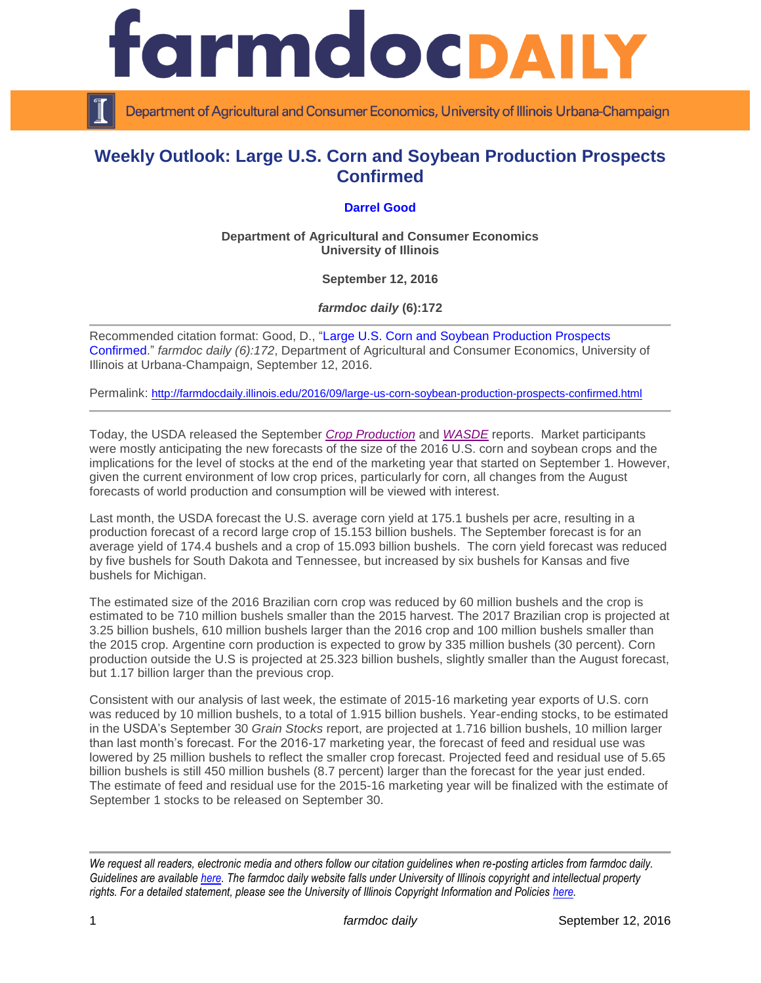

Department of Agricultural and Consumer Economics, University of Illinois Urbana-Champaign

## **Weekly Outlook: Large U.S. Corn and Soybean Production Prospects Confirmed**

## **[Darrel Good](http://farmdoc.illinois.edu/good)**

**Department of Agricultural and Consumer Economics University of Illinois**

**September 12, 2016**

*farmdoc daily* **(6):172**

Recommended citation format: Good, D., ["Large U.S. Corn and Soybean Production Prospects](http://farmdocdaily.illinois.edu/2016/09/large-us-corn-soybean-production-prospects-confirmed.html)  [Confirmed.](http://farmdocdaily.illinois.edu/2016/09/large-us-corn-soybean-production-prospects-confirmed.html)" *farmdoc daily (6):172*, Department of Agricultural and Consumer Economics, University of Illinois at Urbana-Champaign, September 12, 2016.

Permalink: <http://farmdocdaily.illinois.edu/2016/09/large-us-corn-soybean-production-prospects-confirmed.html>

Today, the USDA released the September *[Crop Production](http://usda.mannlib.cornell.edu/MannUsda/viewDocumentInfo.do?documentID=1046)* and *[WASDE](http://usda.mannlib.cornell.edu/MannUsda/viewDocumentInfo.do?documentID=1194)* reports. Market participants were mostly anticipating the new forecasts of the size of the 2016 U.S. corn and soybean crops and the implications for the level of stocks at the end of the marketing year that started on September 1. However, given the current environment of low crop prices, particularly for corn, all changes from the August forecasts of world production and consumption will be viewed with interest.

Last month, the USDA forecast the U.S. average corn yield at 175.1 bushels per acre, resulting in a production forecast of a record large crop of 15.153 billion bushels. The September forecast is for an average yield of 174.4 bushels and a crop of 15.093 billion bushels. The corn yield forecast was reduced by five bushels for South Dakota and Tennessee, but increased by six bushels for Kansas and five bushels for Michigan.

The estimated size of the 2016 Brazilian corn crop was reduced by 60 million bushels and the crop is estimated to be 710 million bushels smaller than the 2015 harvest. The 2017 Brazilian crop is projected at 3.25 billion bushels, 610 million bushels larger than the 2016 crop and 100 million bushels smaller than the 2015 crop. Argentine corn production is expected to grow by 335 million bushels (30 percent). Corn production outside the U.S is projected at 25.323 billion bushels, slightly smaller than the August forecast, but 1.17 billion larger than the previous crop.

Consistent with our analysis of last week, the estimate of 2015-16 marketing year exports of U.S. corn was reduced by 10 million bushels, to a total of 1.915 billion bushels. Year-ending stocks, to be estimated in the USDA's September 30 *Grain Stocks* report, are projected at 1.716 billion bushels, 10 million larger than last month's forecast. For the 2016-17 marketing year, the forecast of feed and residual use was lowered by 25 million bushels to reflect the smaller crop forecast. Projected feed and residual use of 5.65 billion bushels is still 450 million bushels (8.7 percent) larger than the forecast for the year just ended. The estimate of feed and residual use for the 2015-16 marketing year will be finalized with the estimate of September 1 stocks to be released on September 30.

*We request all readers, electronic media and others follow our citation guidelines when re-posting articles from farmdoc daily. Guidelines are available [here.](http://farmdocdaily.illinois.edu/citationguide.html) The farmdoc daily website falls under University of Illinois copyright and intellectual property rights. For a detailed statement, please see the University of Illinois Copyright Information and Policies [here.](http://www.cio.illinois.edu/policies/copyright/)*